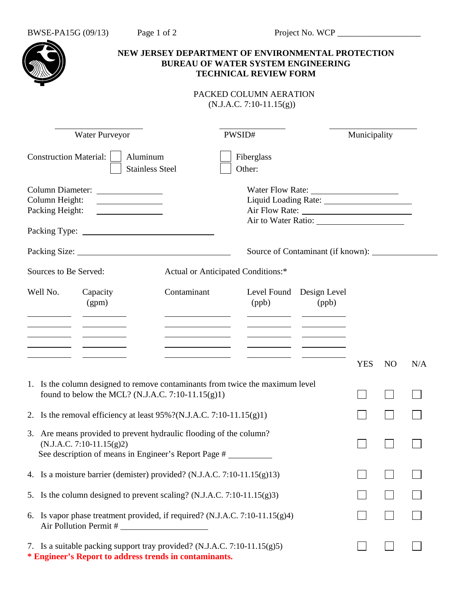|                                                                                                                                                           | NEW JERSEY DEPARTMENT OF ENVIRONMENTAL PROTECTION<br><b>BUREAU OF WATER SYSTEM ENGINEERING</b><br><b>TECHNICAL REVIEW FORM</b> |       |                                   |              |                |     |
|-----------------------------------------------------------------------------------------------------------------------------------------------------------|--------------------------------------------------------------------------------------------------------------------------------|-------|-----------------------------------|--------------|----------------|-----|
|                                                                                                                                                           | PACKED COLUMN AERATION<br>$(N.J.A.C. 7:10-11.15(g))$                                                                           |       |                                   |              |                |     |
| <b>Water Purveyor</b>                                                                                                                                     | PWSID#                                                                                                                         |       |                                   | Municipality |                |     |
| <b>Construction Material:</b><br>Aluminum<br><b>Stainless Steel</b>                                                                                       | Fiberglass<br>Other:                                                                                                           |       |                                   |              |                |     |
| Column Diameter:<br>Column Height:<br><u> Louis Communication (Communication)</u><br>Packing Height:                                                      |                                                                                                                                |       |                                   |              |                |     |
|                                                                                                                                                           |                                                                                                                                |       | Source of Contaminant (if known): |              |                |     |
| Sources to Be Served:                                                                                                                                     | Actual or Anticipated Conditions:*                                                                                             |       |                                   |              |                |     |
| Well No.<br>Capacity<br>(gpm)                                                                                                                             | Contaminant                                                                                                                    | (ppb) | Level Found Design Level<br>(ppb) |              |                |     |
|                                                                                                                                                           |                                                                                                                                |       |                                   |              |                |     |
|                                                                                                                                                           |                                                                                                                                |       |                                   | <b>YES</b>   | N <sub>O</sub> | N/A |
| 1. Is the column designed to remove contaminants from twice the maximum level<br>found to below the MCL? (N.J.A.C. 7:10-11.15(g)1)                        |                                                                                                                                |       |                                   |              |                |     |
| 2. Is the removal efficiency at least $95\%$ ?(N.J.A.C. 7:10-11.15(g)1)                                                                                   |                                                                                                                                |       |                                   |              |                |     |
| 3. Are means provided to prevent hydraulic flooding of the column?<br>$(N.J.A.C. 7:10-11.15(g)2)$<br>See description of means in Engineer's Report Page # |                                                                                                                                |       |                                   |              |                |     |
| 4. Is a moisture barrier (demister) provided? (N.J.A.C. 7:10-11.15(g)13)                                                                                  |                                                                                                                                |       |                                   |              |                |     |
| 5. Is the column designed to prevent scaling? (N.J.A.C. 7:10-11.15(g)3)                                                                                   |                                                                                                                                |       |                                   |              |                |     |
| 6. Is vapor phase treatment provided, if required? (N.J.A.C. 7:10-11.15(g)4)<br>Air Pollution Permit #                                                    |                                                                                                                                |       |                                   |              |                |     |
| 7. Is a suitable packing support tray provided? (N.J.A.C. 7:10-11.15(g)5)                                                                                 |                                                                                                                                |       |                                   |              |                |     |

**\* Engineer's Report to address trends in contaminants.**